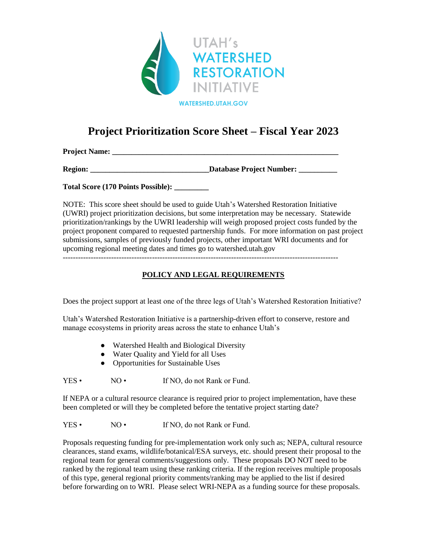

# **Project Prioritization Score Sheet – Fiscal Year 2023**

**Project Name: \_\_\_\_\_\_\_\_\_\_\_\_\_\_\_\_\_\_\_\_\_\_\_\_\_\_\_\_\_\_\_\_\_\_\_\_\_\_\_\_\_\_\_\_\_\_\_\_\_\_\_\_\_\_\_\_\_\_\_**

**Region: Constant Constant Constant Constant Constant Constant Constant Constant Constant Constant Constant Constant Constant Constant Constant Constant Constant Constant Constant Constant Constant Constant Constant Cons** 

**Total Score (170 Points Possible): \_\_\_\_\_\_\_\_\_**

NOTE: This score sheet should be used to guide Utah's Watershed Restoration Initiative (UWRI) project prioritization decisions, but some interpretation may be necessary. Statewide prioritization/rankings by the UWRI leadership will weigh proposed project costs funded by the project proponent compared to requested partnership funds. For more information on past project submissions, samples of previously funded projects, other important WRI documents and for upcoming regional meeting dates and times go to watershed.utah.gov

## **POLICY AND LEGAL REQUIREMENTS**

Does the project support at least one of the three legs of Utah's Watershed Restoration Initiative?

Utah's Watershed Restoration Initiative is a partnership-driven effort to conserve, restore and manage ecosystems in priority areas across the state to enhance Utah's

- Watershed Health and Biological Diversity
- Water Quality and Yield for all Uses
- Opportunities for Sustainable Uses

YES • NO • If NO, do not Rank or Fund.

If NEPA or a cultural resource clearance is required prior to project implementation, have these been completed or will they be completed before the tentative project starting date?

YES • NO • If NO, do not Rank or Fund.

Proposals requesting funding for pre-implementation work only such as; NEPA, cultural resource clearances, stand exams, wildlife/botanical/ESA surveys, etc. should present their proposal to the regional team for general comments/suggestions only. These proposals DO NOT need to be ranked by the regional team using these ranking criteria. If the region receives multiple proposals of this type, general regional priority comments/ranking may be applied to the list if desired before forwarding on to WRI. Please select WRI-NEPA as a funding source for these proposals.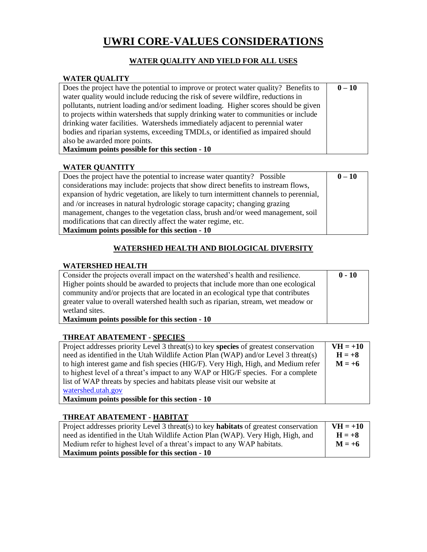# **UWRI CORE-VALUES CONSIDERATIONS**

# **WATER QUALITY AND YIELD FOR ALL USES**

## **WATER QUALITY**

| Does the project have the potential to improve or protect water quality? Benefits to | $0 - 10$ |
|--------------------------------------------------------------------------------------|----------|
| water quality would include reducing the risk of severe wildfire, reductions in      |          |
| pollutants, nutrient loading and/or sediment loading. Higher scores should be given  |          |
| to projects within watersheds that supply drinking water to communities or include   |          |
| drinking water facilities. Watersheds immediately adjacent to perennial water        |          |
| bodies and riparian systems, exceeding TMDLs, or identified as impaired should       |          |
| also be awarded more points.                                                         |          |
| Maximum points possible for this section - 10                                        |          |

### **WATER QUANTITY**

| Does the project have the potential to increase water quantity? Possible               | $0 - 10$ |
|----------------------------------------------------------------------------------------|----------|
| considerations may include: projects that show direct benefits to instream flows,      |          |
| expansion of hydric vegetation, are likely to turn intermittent channels to perennial, |          |
| and /or increases in natural hydrologic storage capacity; changing grazing             |          |
| management, changes to the vegetation class, brush and/or weed management, soil        |          |
| modifications that can directly affect the water regime, etc.                          |          |
| Maximum points possible for this section - 10                                          |          |

## **WATERSHED HEALTH AND BIOLOGICAL DIVERSITY**

### **WATERSHED HEALTH**

| Consider the projects overall impact on the watershed's health and resilience.    | $0 - 10$ |
|-----------------------------------------------------------------------------------|----------|
| Higher points should be awarded to projects that include more than one ecological |          |
| community and/or projects that are located in an ecological type that contributes |          |
| greater value to overall watershed health such as riparian, stream, wet meadow or |          |
| wetland sites.                                                                    |          |
| Maximum points possible for this section - 10                                     |          |

#### **THREAT ABATEMENT - SPECIES**

| Project addresses priority Level 3 threat(s) to key species of greatest conservation | $VH = +10$ |
|--------------------------------------------------------------------------------------|------------|
| need as identified in the Utah Wildlife Action Plan (WAP) and/or Level 3 threat(s)   | $H = +8$   |
| to high interest game and fish species (HIG/F). Very High, High, and Medium refer    | $M = +6$   |
| to highest level of a threat's impact to any WAP or HIG/F species. For a complete    |            |
| list of WAP threats by species and habitats please visit our website at              |            |
| watershed.utah.gov                                                                   |            |
| Maximum points possible for this section - 10                                        |            |

## **THREAT ABATEMENT - HABITAT**

| Project addresses priority Level 3 threat(s) to key <b>habitats</b> of greatest conservation | $VH = +10$ |
|----------------------------------------------------------------------------------------------|------------|
| need as identified in the Utah Wildlife Action Plan (WAP). Very High, High, and              | $H = +8$   |
| Medium refer to highest level of a threat's impact to any WAP habitats.                      | $M = +6$   |
| Maximum points possible for this section - 10                                                |            |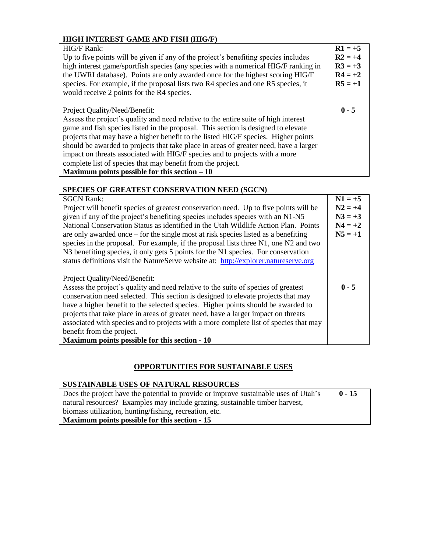# **HIGH INTEREST GAME AND FISH (HIG/F)**

| <b>HIG/F Rank:</b><br>Up to five points will be given if any of the project's benefiting species includes<br>high interest game/sportfish species (any species with a numerical HIG/F ranking in<br>the UWRI database). Points are only awarded once for the highest scoring HIG/F                                                                                                                                                                                                                                                                                                       | $R1 = +5$<br>$R2 = +4$<br>$R3 = +3$<br>$R4 = +2$ |
|------------------------------------------------------------------------------------------------------------------------------------------------------------------------------------------------------------------------------------------------------------------------------------------------------------------------------------------------------------------------------------------------------------------------------------------------------------------------------------------------------------------------------------------------------------------------------------------|--------------------------------------------------|
| species. For example, if the proposal lists two R4 species and one R5 species, it<br>would receive 2 points for the R4 species.                                                                                                                                                                                                                                                                                                                                                                                                                                                          | $R5 = +1$                                        |
| Project Quality/Need/Benefit:<br>Assess the project's quality and need relative to the entire suite of high interest<br>game and fish species listed in the proposal. This section is designed to elevate<br>projects that may have a higher benefit to the listed HIG/F species. Higher points<br>should be awarded to projects that take place in areas of greater need, have a larger<br>impact on threats associated with HIG/F species and to projects with a more<br>complete list of species that may benefit from the project.<br>Maximum points possible for this section $-10$ | $0 - 5$                                          |

## **SPECIES OF GREATEST CONSERVATION NEED (SGCN)**

| <b>SGCN Rank:</b>                                                                     | $N1 = +5$ |
|---------------------------------------------------------------------------------------|-----------|
| Project will benefit species of greatest conservation need. Up to five points will be | $N2 = +4$ |
| given if any of the project's benefiting species includes species with an N1-N5       | $N3 = +3$ |
| National Conservation Status as identified in the Utah Wildlife Action Plan. Points   | $N4 = +2$ |
| are only awarded once $-$ for the single most at risk species listed as a benefiting  | $N5 = +1$ |
| species in the proposal. For example, if the proposal lists three N1, one N2 and two  |           |
| N3 benefiting species, it only gets 5 points for the N1 species. For conservation     |           |
| status definitions visit the NatureServe website at: http://explorer.natureserve.org  |           |
|                                                                                       |           |
| Project Quality/Need/Benefit:                                                         |           |
| Assess the project's quality and need relative to the suite of species of greatest    | $0 - 5$   |
| conservation need selected. This section is designed to elevate projects that may     |           |
| have a higher benefit to the selected species. Higher points should be awarded to     |           |
| projects that take place in areas of greater need, have a larger impact on threats    |           |
| associated with species and to projects with a more complete list of species that may |           |
| benefit from the project.                                                             |           |
| Maximum points possible for this section - 10                                         |           |

### **OPPORTUNITIES FOR SUSTAINABLE USES**

# **SUSTAINABLE USES OF NATURAL RESOURCES**

| Does the project have the potential to provide or improve sustainable uses of Utah's | $0 - 15$ |
|--------------------------------------------------------------------------------------|----------|
| natural resources? Examples may include grazing, sustainable timber harvest,         |          |
| biomass utilization, hunting/fishing, recreation, etc.                               |          |
| Maximum points possible for this section - 15                                        |          |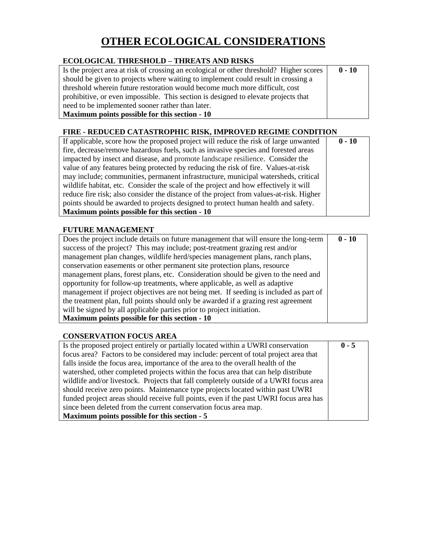# **OTHER ECOLOGICAL CONSIDERATIONS**

## **ECOLOGICAL THRESHOLD – THREATS AND RISKS**

| Is the project area at risk of crossing an ecological or other threshold? Higher scores | $0 - 10$ |
|-----------------------------------------------------------------------------------------|----------|
| should be given to projects where waiting to implement could result in crossing a       |          |
| threshold wherein future restoration would become much more difficult, cost             |          |
| prohibitive, or even impossible. This section is designed to elevate projects that      |          |
| need to be implemented sooner rather than later.                                        |          |
| Maximum points possible for this section - 10                                           |          |

## **FIRE - REDUCED CATASTROPHIC RISK, IMPROVED REGIME CONDITION**

| If applicable, score how the proposed project will reduce the risk of large unwanted    | $0 - 10$ |
|-----------------------------------------------------------------------------------------|----------|
| fire, decrease/remove hazardous fuels, such as invasive species and forested areas      |          |
| impacted by insect and disease, and promote landscape resilience. Consider the          |          |
| value of any features being protected by reducing the risk of fire. Values-at-risk      |          |
| may include; communities, permanent infrastructure, municipal watersheds, critical      |          |
| wildlife habitat, etc. Consider the scale of the project and how effectively it will    |          |
| reduce fire risk; also consider the distance of the project from values-at-risk. Higher |          |
| points should be awarded to projects designed to protect human health and safety.       |          |
| Maximum points possible for this section - 10                                           |          |

### **FUTURE MANAGEMENT**

| Does the project include details on future management that will ensure the long-term  | $0 - 10$ |
|---------------------------------------------------------------------------------------|----------|
| success of the project? This may include; post-treatment grazing rest and/or          |          |
| management plan changes, wildlife herd/species management plans, ranch plans,         |          |
| conservation easements or other permanent site protection plans, resource             |          |
| management plans, forest plans, etc. Consideration should be given to the need and    |          |
| opportunity for follow-up treatments, where applicable, as well as adaptive           |          |
| management if project objectives are not being met. If seeding is included as part of |          |
| the treatment plan, full points should only be awarded if a grazing rest agreement    |          |
| will be signed by all applicable parties prior to project initiation.                 |          |
| Maximum points possible for this section - 10                                         |          |

#### **CONSERVATION FOCUS AREA**

| Is the proposed project entirely or partially located within a UWRI conservation      | $0 - 5$ |
|---------------------------------------------------------------------------------------|---------|
| focus area? Factors to be considered may include: percent of total project area that  |         |
| falls inside the focus area, importance of the area to the overall health of the      |         |
| watershed, other completed projects within the focus area that can help distribute    |         |
| wildlife and/or livestock. Projects that fall completely outside of a UWRI focus area |         |
| should receive zero points. Maintenance type projects located within past UWRI        |         |
| funded project areas should receive full points, even if the past UWRI focus area has |         |
| since been deleted from the current conservation focus area map.                      |         |
| Maximum points possible for this section - 5                                          |         |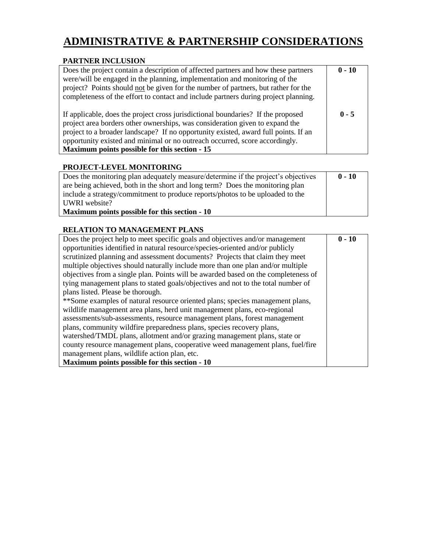# **ADMINISTRATIVE & PARTNERSHIP CONSIDERATIONS**

### **PARTNER INCLUSION**

| Does the project contain a description of affected partners and how these partners<br>were/will be engaged in the planning, implementation and monitoring of the<br>project? Points should not be given for the number of partners, but rather for the<br>completeness of the effort to contact and include partners during project planning.                                           | $0 - 10$ |
|-----------------------------------------------------------------------------------------------------------------------------------------------------------------------------------------------------------------------------------------------------------------------------------------------------------------------------------------------------------------------------------------|----------|
| If applicable, does the project cross jurisdictional boundaries? If the proposed<br>project area borders other ownerships, was consideration given to expand the<br>project to a broader landscape? If no opportunity existed, award full points. If an<br>opportunity existed and minimal or no outreach occurred, score accordingly.<br>Maximum points possible for this section - 15 | $0 - 5$  |

### **PROJECT-LEVEL MONITORING**

| Does the monitoring plan adequately measure/determine if the project's objectives | $0 - 10$ |
|-----------------------------------------------------------------------------------|----------|
| are being achieved, both in the short and long term? Does the monitoring plan     |          |
| include a strategy/commitment to produce reports/photos to be uploaded to the     |          |
| UWRI website?                                                                     |          |
| Maximum points possible for this section - 10                                     |          |

## **RELATION TO MANAGEMENT PLANS**

| Does the project help to meet specific goals and objectives and/or management      | $0 - 10$ |
|------------------------------------------------------------------------------------|----------|
| opportunities identified in natural resource/species-oriented and/or publicly      |          |
| scrutinized planning and assessment documents? Projects that claim they meet       |          |
| multiple objectives should naturally include more than one plan and/or multiple    |          |
| objectives from a single plan. Points will be awarded based on the completeness of |          |
| tying management plans to stated goals/objectives and not to the total number of   |          |
| plans listed. Please be thorough.                                                  |          |
| **Some examples of natural resource oriented plans; species management plans,      |          |
| wildlife management area plans, herd unit management plans, eco-regional           |          |
| assessments/sub-assessments, resource management plans, forest management          |          |
| plans, community wildfire preparedness plans, species recovery plans,              |          |
| watershed/TMDL plans, allotment and/or grazing management plans, state or          |          |
| county resource management plans, cooperative weed management plans, fuel/fire     |          |
| management plans, wildlife action plan, etc.                                       |          |
| Maximum points possible for this section - 10                                      |          |